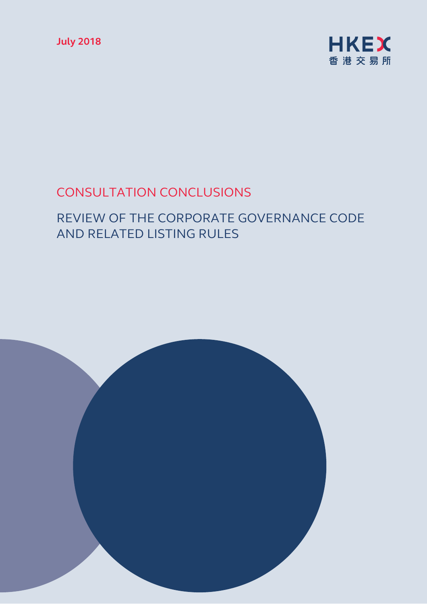**July 2018** 



# CONSULTATION CONCLUSIONS

# REVIEW OF THE CORPORATE GOVERNANCE CODE AND RELATED LISTING RULES

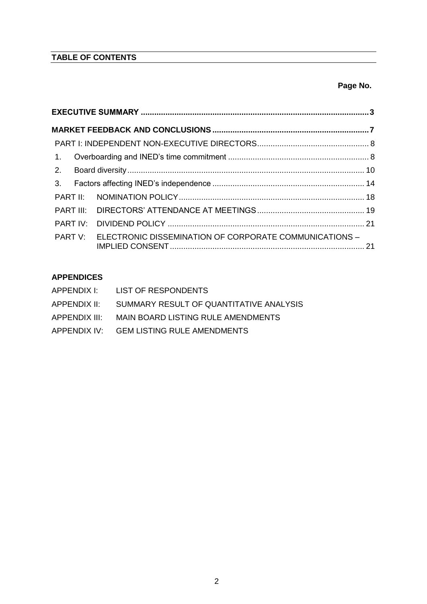## **TABLE OF CONTENTS**

## **Page No.**

| $\mathbf{1}$ . |  |                                                        |  |  |  |
|----------------|--|--------------------------------------------------------|--|--|--|
| 2.             |  |                                                        |  |  |  |
| 3.             |  |                                                        |  |  |  |
|                |  |                                                        |  |  |  |
|                |  |                                                        |  |  |  |
| PART IV:       |  |                                                        |  |  |  |
| PART V:        |  | ELECTRONIC DISSEMINATION OF CORPORATE COMMUNICATIONS - |  |  |  |

## **APPENDICES**

| APPENDIX I:   | LIST OF RESPONDENTS                      |
|---------------|------------------------------------------|
| APPENDIX II:  | SUMMARY RESULT OF QUANTITATIVE ANALYSIS  |
| APPENDIX III: | MAIN BOARD LISTING RULE AMENDMENTS       |
|               | APPENDIX IV: GEM LISTING RULE AMENDMENTS |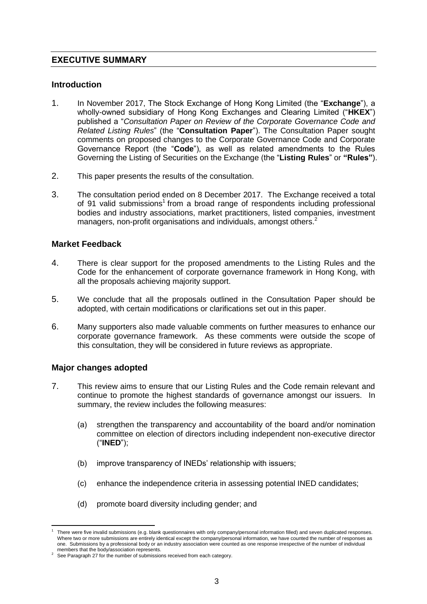## <span id="page-2-0"></span>**EXECUTIVE SUMMARY**

## **Introduction**

- 1. In November 2017, The Stock Exchange of Hong Kong Limited (the "**Exchange**"), a wholly-owned subsidiary of Hong Kong Exchanges and Clearing Limited ("**HKEX**") published a "*Consultation Paper on Review of the Corporate Governance Code and Related Listing Rules*" (the "**Consultation Paper**"). The Consultation Paper sought comments on proposed changes to the Corporate Governance Code and Corporate Governance Report (the "**Code**"), as well as related amendments to the Rules Governing the Listing of Securities on the Exchange (the "**Listing Rules**" or **"Rules"**).
- 2. This paper presents the results of the consultation.
- 3. The consultation period ended on 8 December 2017. The Exchange received a total of 91 valid submissions<sup>1</sup> from a broad range of respondents including professional bodies and industry associations, market practitioners, listed companies, investment managers, non-profit organisations and individuals, amongst others.<sup>2</sup>

## **Market Feedback**

- 4. There is clear support for the proposed amendments to the Listing Rules and the Code for the enhancement of corporate governance framework in Hong Kong, with all the proposals achieving majority support.
- 5. We conclude that all the proposals outlined in the Consultation Paper should be adopted, with certain modifications or clarifications set out in this paper.
- 6. Many supporters also made valuable comments on further measures to enhance our corporate governance framework. As these comments were outside the scope of this consultation, they will be considered in future reviews as appropriate.

## **Major changes adopted**

- 7. This review aims to ensure that our Listing Rules and the Code remain relevant and continue to promote the highest standards of governance amongst our issuers. In summary, the review includes the following measures:
	- (a) strengthen the transparency and accountability of the board and/or nomination committee on election of directors including independent non-executive director ("**INED**");
	- (b) improve transparency of INEDs' relationship with issuers;
	- (c) enhance the independence criteria in assessing potential INED candidates;
	- (d) promote board diversity including gender; and

<sup>&</sup>lt;u>.</u> 1 There were five invalid submissions (e.g. blank questionnaires with only company/personal information filled) and seven duplicated responses. Where two or more submissions are entirely identical except the company/personal information, we have counted the number of responses as one. Submissions by a professional body or an industry association were counted as one response irrespective of the number of individual

members that the body/association represents. <sup>2</sup> See Paragraph [27](#page-6-1) for the number of submissions received from each category.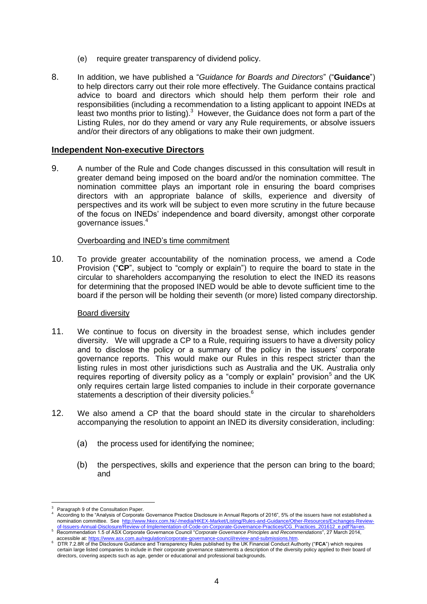- (e) require greater transparency of dividend policy.
- 8. In addition, we have published a "*Guidance for Boards and Directors*" ("**Guidance**") to help directors carry out their role more effectively. The Guidance contains practical advice to board and directors which should help them perform their role and responsibilities (including a recommendation to a listing applicant to appoint INEDs at least two months prior to listing). $3$  However, the Guidance does not form a part of the Listing Rules, nor do they amend or vary any Rule requirements, or absolve issuers and/or their directors of any obligations to make their own judgment.

#### **Independent Non-executive Directors**

9. A number of the Rule and Code changes discussed in this consultation will result in greater demand being imposed on the board and/or the nomination committee. The nomination committee plays an important role in ensuring the board comprises directors with an appropriate balance of skills, experience and diversity of perspectives and its work will be subject to even more scrutiny in the future because of the focus on INEDs' independence and board diversity, amongst other corporate governance issues. 4

#### <span id="page-3-2"></span>Overboarding and INED's time commitment

10. To provide greater accountability of the nomination process, we amend a Code Provision ("**CP**", subject to "comply or explain") to require the board to state in the circular to shareholders accompanying the resolution to elect the INED its reasons for determining that the proposed INED would be able to devote sufficient time to the board if the person will be holding their seventh (or more) listed company directorship.

#### <span id="page-3-1"></span><span id="page-3-0"></span>Board diversity

- 11. We continue to focus on diversity in the broadest sense, which includes gender diversity. We will upgrade a CP to a Rule, requiring issuers to have a diversity policy and to disclose the policy or a summary of the policy in the issuers' corporate governance reports. This would make our Rules in this respect stricter than the listing rules in most other jurisdictions such as Australia and the UK. Australia only requires reporting of diversity policy as a "comply or explain" provision<sup>5</sup> and the UK only requires certain large listed companies to include in their corporate governance statements a description of their diversity policies.<sup>6</sup>
- 12. We also amend a CP that the board should state in the circular to shareholders accompanying the resolution to appoint an INED its diversity consideration, including:
	- (a) the process used for identifying the nominee;
	- (b) the perspectives, skills and experience that the person can bring to the board; and

<u>.</u>

Paragraph 9 of the Consultation Paper.

<sup>4</sup> According to the "Analysis of Corporate Governance Practice Disclosure in Annual Reports of 2016", 5% of the issuers have not established a nomination committee. See [http://www.hkex.com.hk/-/media/HKEX-Market/Listing/Rules-and-Guidance/Other-Resources/Exchanges-Review-](http://www.hkex.com.hk/-/media/HKEX-Market/Listing/Rules-and-Guidance/Other-Resources/Exchanges-Review-of-Issuers-Annual-Disclosure/Review-of-Implementation-of-Code-on-Corporate-Governance-Practices/CG_Practices_201612_e.pdf?la=en).of-Issuers-Annual-Disclosure/Review-of-Implementation-of-Code-on-Corporate-Governance-Practices/CG Practices 201612 e.pdf?la=en<br><sup>5</sup> Recommendation 1.5 of ASX Corporate Governance Council "Corporate Governance Principles a

accessible at[: https://www.asx.com.au/regulation/corporate-governance-council/review-and-submissions.htm.](https://www.asx.com.au/regulation/corporate-governance-council/review-and-submissions.htm)

<sup>6</sup> DTR 7.2.8R of the Disclosure Guidance and Transparency Rules published by the UK Financial Conduct Authority ("**FCA**") which requires certain large listed companies to include in their corporate governance statements a description of the diversity policy applied to their board of directors, covering aspects such as age, gender or educational and professional backgrounds.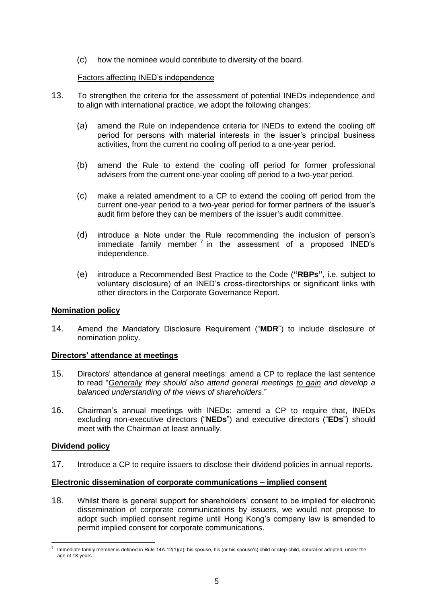(c) how the nominee would contribute to diversity of the board.

## Factors affecting INED's independence

- 13. To strengthen the criteria for the assessment of potential INEDs independence and to align with international practice, we adopt the following changes:
	- (a) amend the Rule on independence criteria for INEDs to extend the cooling off period for persons with material interests in the issuer's principal business activities, from the current no cooling off period to a one-year period.
	- (b) amend the Rule to extend the cooling off period for former professional advisers from the current one-year cooling off period to a two-year period.
	- (c) make a related amendment to a CP to extend the cooling off period from the current one-year period to a two-year period for former partners of the issuer's audit firm before they can be members of the issuer's audit committee.
	- (d) introduce a Note under the Rule recommending the inclusion of person's immediate family member<sup>7</sup> in the assessment of a proposed INED's independence.
	- (e) introduce a Recommended Best Practice to the Code (**"RBPs"**, i.e. subject to voluntary disclosure) of an INED's cross-directorships or significant links with other directors in the Corporate Governance Report.

## **Nomination policy**

14. Amend the Mandatory Disclosure Requirement ("**MDR**") to include disclosure of nomination policy.

## **Directors' attendance at meetings**

- 15. Directors' attendance at general meetings: amend a CP to replace the last sentence to read "*Generally they should also attend general meetings to gain and develop a balanced understanding of the views of shareholders*."
- 16. Chairman's annual meetings with INEDs: amend a CP to require that, INEDs excluding non-executive directors ("**NEDs**") and executive directors ("**EDs**") should meet with the Chairman at least annually.

## **Dividend policy**

17. Introduce a CP to require issuers to disclose their dividend policies in annual reports.

## **Electronic dissemination of corporate communications – implied consent**

18. Whilst there is general support for shareholders' consent to be implied for electronic dissemination of corporate communications by issuers, we would not propose to adopt such implied consent regime until Hong Kong's company law is amended to permit implied consent for corporate communications.

<sup>1</sup> 7 Immediate family member is defined in Rule 14A.12(1)(a): his spouse, his (or his spouse's) child or step-child, natural or adopted, under the age of 18 years.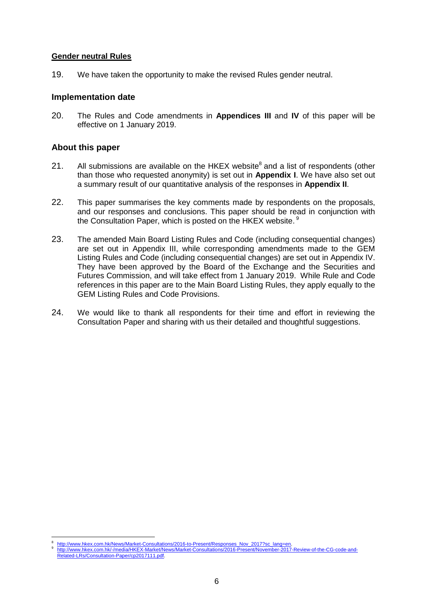#### **Gender neutral Rules**

19. We have taken the opportunity to make the revised Rules gender neutral.

## **Implementation date**

20. The Rules and Code amendments in **Appendices III** and **IV** of this paper will be effective on 1 January 2019.

## **About this paper**

- 21. All submissions are available on the HKEX website $^8$  and a list of respondents (other than those who requested anonymity) is set out in **Appendix I**. We have also set out a summary result of our quantitative analysis of the responses in **Appendix II**.
- 22. This paper summarises the key comments made by respondents on the proposals, and our responses and conclusions. This paper should be read in conjunction with the Consultation Paper, which is posted on the HKEX website. <sup>9</sup>
- 23. The amended Main Board Listing Rules and Code (including consequential changes) are set out in Appendix III, while corresponding amendments made to the GEM Listing Rules and Code (including consequential changes) are set out in Appendix IV. They have been approved by the Board of the Exchange and the Securities and Futures Commission, and will take effect from 1 January 2019. While Rule and Code references in this paper are to the Main Board Listing Rules, they apply equally to the GEM Listing Rules and Code Provisions.
- 24. We would like to thank all respondents for their time and effort in reviewing the Consultation Paper and sharing with us their detailed and thoughtful suggestions.

<sup>1</sup> 8 [http://www.hkex.com.hk/News/Market-Consultations/2016-to-Present/Responses\\_Nov\\_2017?sc\\_lang=en.](http://www.hkex.com.hk/News/Market-Consultations/2016-to-Present/Responses_Nov_2017?sc_lang=en)

<sup>9</sup> [http://www.hkex.com.hk/-/media/HKEX-Market/News/Market-Consultations/2016-Present/November-2017-Review-of-the-CG-code-and-](http://www.hkex.com.hk/-/media/HKEX-Market/News/Market-Consultations/2016-Present/November-2017-Review-of-the-CG-code-and-Related-LRs/Consultation-Paper/cp2017111.pdf)[Related-LRs/Consultation-Paper/cp2017111.pdf.](http://www.hkex.com.hk/-/media/HKEX-Market/News/Market-Consultations/2016-Present/November-2017-Review-of-the-CG-code-and-Related-LRs/Consultation-Paper/cp2017111.pdf)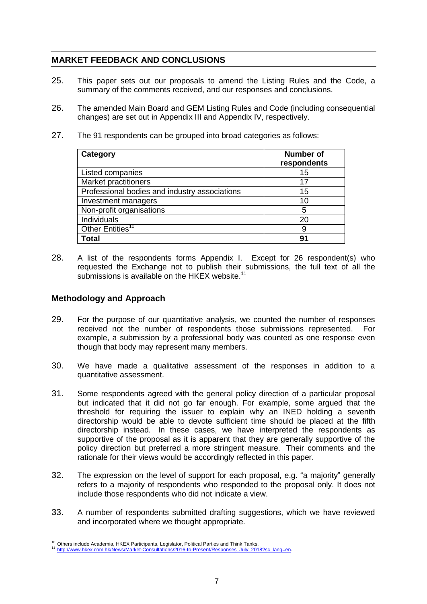## <span id="page-6-0"></span>**MARKET FEEDBACK AND CONCLUSIONS**

- 25. This paper sets out our proposals to amend the Listing Rules and the Code, a summary of the comments received, and our responses and conclusions.
- 26. The amended Main Board and GEM Listing Rules and Code (including consequential changes) are set out in Appendix III and Appendix IV, respectively.
- <span id="page-6-1"></span>27. The 91 respondents can be grouped into broad categories as follows:

| Category                                      | Number of<br>respondents |
|-----------------------------------------------|--------------------------|
| Listed companies                              | 15                       |
| <b>Market practitioners</b>                   | 17                       |
| Professional bodies and industry associations | 15                       |
| Investment managers                           | 10                       |
| Non-profit organisations                      | 5                        |
| Individuals                                   |                          |
| Other Entities <sup>10</sup>                  | 9                        |
| <b>Total</b>                                  | 91                       |

28. A list of the respondents forms Appendix I. Except for 26 respondent(s) who requested the Exchange not to publish their submissions, the full text of all the submissions is available on the HKEX website.<sup>11</sup>

## **Methodology and Approach**

- 29. For the purpose of our quantitative analysis, we counted the number of responses received not the number of respondents those submissions represented. For example, a submission by a professional body was counted as one response even though that body may represent many members.
- 30. We have made a qualitative assessment of the responses in addition to a quantitative assessment.
- 31. Some respondents agreed with the general policy direction of a particular proposal but indicated that it did not go far enough. For example, some argued that the threshold for requiring the issuer to explain why an INED holding a seventh directorship would be able to devote sufficient time should be placed at the fifth directorship instead. In these cases, we have interpreted the respondents as supportive of the proposal as it is apparent that they are generally supportive of the policy direction but preferred a more stringent measure. Their comments and the rationale for their views would be accordingly reflected in this paper.
- 32. The expression on the level of support for each proposal, e.g. "a majority" generally refers to a majority of respondents who responded to the proposal only. It does not include those respondents who did not indicate a view.
- 33. A number of respondents submitted drafting suggestions, which we have reviewed and incorporated where we thought appropriate.

<sup>1</sup> <sup>10</sup> Others include Academia, HKEX Participants, Legislator, Political Parties and Think Tanks.

<sup>11</sup> [http://www.hkex.com.hk/News/Market-Consultations/2016-to-Present/Responses\\_July\\_2018?sc\\_lang=en.](http://www.hkex.com.hk/News/Market-Consultations/2016-to-Present/Responses_July_2018?sc_lang=en)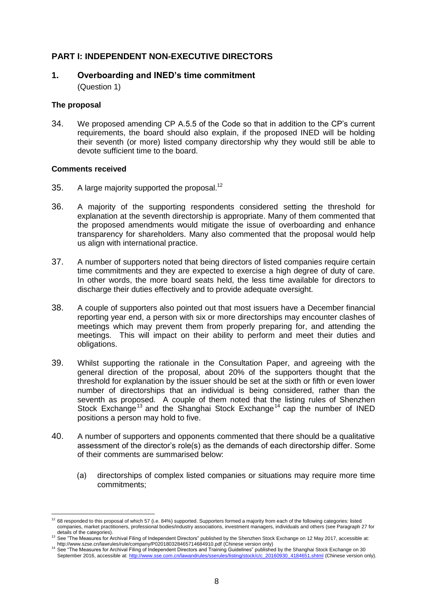## <span id="page-7-0"></span>**PART I: INDEPENDENT NON-EXECUTIVE DIRECTORS**

## <span id="page-7-1"></span>**1. Overboarding and INED's time commitment**

(Question 1)

## **The proposal**

34. We proposed amending CP A.5.5 of the Code so that in addition to the CP's current requirements, the board should also explain, if the proposed INED will be holding their seventh (or more) listed company directorship why they would still be able to devote sufficient time to the board.

## **Comments received**

- 35. A large majority supported the proposal.<sup>12</sup>
- <span id="page-7-2"></span>36. A majority of the supporting respondents considered setting the threshold for explanation at the seventh directorship is appropriate. Many of them commented that the proposed amendments would mitigate the issue of overboarding and enhance transparency for shareholders. Many also commented that the proposal would help us align with international practice.
- 37. A number of supporters noted that being directors of listed companies require certain time commitments and they are expected to exercise a high degree of duty of care. In other words, the more board seats held, the less time available for directors to discharge their duties effectively and to provide adequate oversight.
- <span id="page-7-3"></span>38. A couple of supporters also pointed out that most issuers have a December financial reporting year end, a person with six or more directorships may encounter clashes of meetings which may prevent them from properly preparing for, and attending the meetings. This will impact on their ability to perform and meet their duties and obligations.
- <span id="page-7-4"></span>39. Whilst supporting the rationale in the Consultation Paper, and agreeing with the general direction of the proposal, about 20% of the supporters thought that the threshold for explanation by the issuer should be set at the sixth or fifth or even lower number of directorships that an individual is being considered, rather than the seventh as proposed. A couple of them noted that the listing rules of Shenzhen Stock Exchange<sup>13</sup> and the Shanghai Stock Exchange<sup>14</sup> cap the number of INED positions a person may hold to five.
- <span id="page-7-5"></span>40. A number of supporters and opponents commented that there should be a qualitative assessment of the director's role(s) as the demands of each directorship differ. Some of their comments are summarised below:
	- (a) directorships of complex listed companies or situations may require more time commitments;

<sup>&</sup>lt;u>.</u>  $12$  68 responded to this proposal of which 57 (i.e. 84%) supported. Supporters formed a majority from each of the following categories: listed companies, market practitioners, professional bodies/industry associations, investment managers, individuals and others (see Paragrap[h 27](#page-6-1) for details of the categories).

<sup>13</sup> See "The Measures for Archival Filing of Independent Directors" published by the Shenzhen Stock Exchange on 12 May 2017, accessible at: http://www.szse.cn/lawrules/rule/company/P020180328465714684910.pdf (Chinese version only)

<sup>14</sup> See "The Measures for Archival Filing of Independent Directors and Training Guidelines" published by the Shanghai Stock Exchange on 30<br>September 2016, accessible at: http://www.sse.com.cn/lawandrules/sserules/listing/st September 2016, accessible at: http://www.sse.com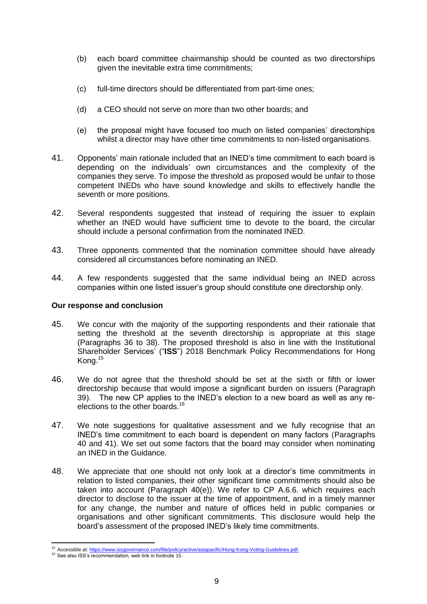- (b) each board committee chairmanship should be counted as two directorships given the inevitable extra time commitments;
- (c) full-time directors should be differentiated from part-time ones;
- (d) a CEO should not serve on more than two other boards; and
- <span id="page-8-1"></span>(e) the proposal might have focused too much on listed companies' directorships whilst a director may have other time commitments to non-listed organisations.
- <span id="page-8-0"></span>41. Opponents' main rationale included that an INED's time commitment to each board is depending on the individuals' own circumstances and the complexity of the companies they serve. To impose the threshold as proposed would be unfair to those competent INEDs who have sound knowledge and skills to effectively handle the seventh or more positions.
- <span id="page-8-3"></span>42. Several respondents suggested that instead of requiring the issuer to explain whether an INED would have sufficient time to devote to the board, the circular should include a personal confirmation from the nominated INED.
- <span id="page-8-4"></span>43. Three opponents commented that the nomination committee should have already considered all circumstances before nominating an INED.
- <span id="page-8-5"></span>44. A few respondents suggested that the same individual being an INED across companies within one listed issuer's group should constitute one directorship only.

#### **Our response and conclusion**

- 45. We concur with the majority of the supporting respondents and their rationale that setting the threshold at the seventh directorship is appropriate at this stage (Paragraphs [36](#page-7-2) to [38\)](#page-7-3). The proposed threshold is also in line with the Institutional Shareholder Services' ("**ISS**") 2018 Benchmark Policy Recommendations for Hong Kong.<sup>15</sup>
- <span id="page-8-2"></span>46. We do not agree that the threshold should be set at the sixth or fifth or lower directorship because that would impose a significant burden on issuers (Paragraph [39\)](#page-7-4). The new CP applies to the INED's election to a new board as well as any reelections to the other boards.<sup>16</sup>
- 47. We note suggestions for qualitative assessment and we fully recognise that an INED's time commitment to each board is dependent on many factors (Paragraphs [40](#page-7-5) and [41\)](#page-8-0). We set out some factors that the board may consider when nominating an INED in the Guidance.
- 48. We appreciate that one should not only look at a director's time commitments in relation to listed companies, their other significant time commitments should also be taken into account (Paragraph [40\(e\)\)](#page-8-1). We refer to CP A.6.6. which requires each director to disclose to the issuer at the time of appointment, and in a timely manner for any change, the number and nature of offices held in public companies or organisations and other significant commitments. This disclosure would help the board's assessment of the proposed INED's likely time commitments.

1

<sup>&</sup>lt;sup>15</sup> Accessible at: [https://www.issgovernance.com/file/policy/active/asiapacific/Hong-Kong-Voting-Guidelines.pdf.](https://www.issgovernance.com/file/policy/active/asiapacific/Hong-Kong-Voting-Guidelines.pdf)

<sup>&</sup>lt;sup>16</sup> See also ISS's recommendation, web link in footnote 15.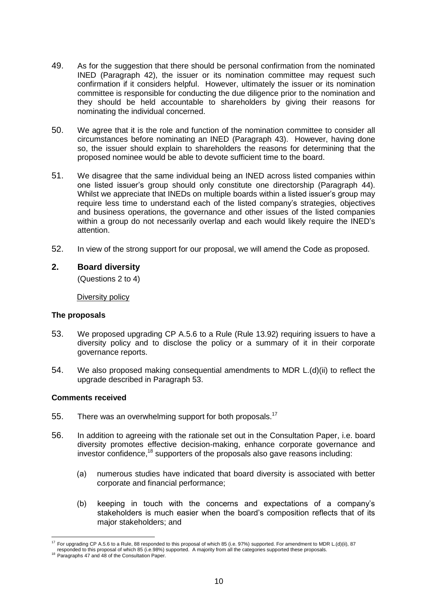- 49. As for the suggestion that there should be personal confirmation from the nominated INED (Paragraph [42\)](#page-8-3), the issuer or its nomination committee may request such confirmation if it considers helpful. However, ultimately the issuer or its nomination committee is responsible for conducting the due diligence prior to the nomination and they should be held accountable to shareholders by giving their reasons for nominating the individual concerned.
- 50. We agree that it is the role and function of the nomination committee to consider all circumstances before nominating an INED (Paragraph [43\)](#page-8-4). However, having done so, the issuer should explain to shareholders the reasons for determining that the proposed nominee would be able to devote sufficient time to the board.
- 51. We disagree that the same individual being an INED across listed companies within one listed issuer's group should only constitute one directorship (Paragraph [44\)](#page-8-5). Whilst we appreciate that INEDs on multiple boards within a listed issuer's group may require less time to understand each of the listed company's strategies, objectives and business operations, the governance and other issues of the listed companies within a group do not necessarily overlap and each would likely require the INED's attention.
- 52. In view of the strong support for our proposal, we will amend the Code as proposed.

## <span id="page-9-0"></span>**2. Board diversity**

(Questions 2 to 4)

#### Diversity policy

#### **The proposals**

- <span id="page-9-1"></span>53. We proposed upgrading CP A.5.6 to a Rule (Rule 13.92) requiring issuers to have a diversity policy and to disclose the policy or a summary of it in their corporate governance reports.
- 54. We also proposed making consequential amendments to MDR L.(d)(ii) to reflect the upgrade described in Paragraph [53.](#page-9-1)

## **Comments received**

- 55. There was an overwhelming support for both proposals.<sup>17</sup>
- 56. In addition to agreeing with the rationale set out in the Consultation Paper, i.e. board diversity promotes effective decision-making, enhance corporate governance and investor confidence,<sup>18</sup> supporters of the proposals also gave reasons including:
	- (a) numerous studies have indicated that board diversity is associated with better corporate and financial performance;
	- (b) keeping in touch with the concerns and expectations of a company's stakeholders is much easier when the board's composition reflects that of its major stakeholders; and

<sup>1</sup> <sup>17</sup> For upgrading CP A.5.6 to a Rule, 88 responded to this proposal of which 85 (i.e. 97%) supported. For amendment to MDR L.(d)(ii), 87 responded to this proposal of which 85 (i.e.98%) supported. A majority from all the categories supported these proposals.

<sup>&</sup>lt;sup>18</sup> Paragraphs 47 and 48 of the Consultation Paper.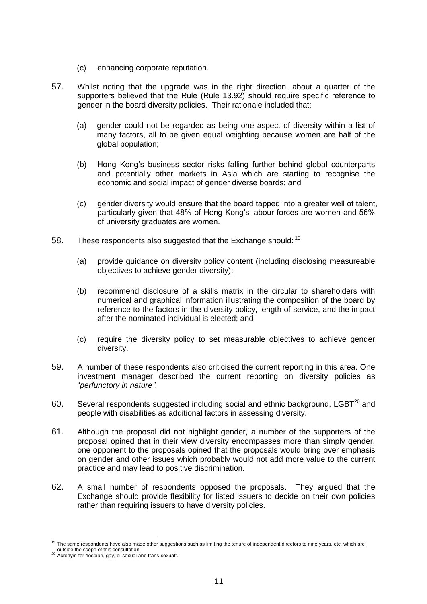- (c) enhancing corporate reputation.
- <span id="page-10-0"></span>57. Whilst noting that the upgrade was in the right direction, about a quarter of the supporters believed that the Rule (Rule 13.92) should require specific reference to gender in the board diversity policies. Their rationale included that:
	- (a) gender could not be regarded as being one aspect of diversity within a list of many factors, all to be given equal weighting because women are half of the global population;
	- (b) Hong Kong's business sector risks falling further behind global counterparts and potentially other markets in Asia which are starting to recognise the economic and social impact of gender diverse boards; and
	- (c) gender diversity would ensure that the board tapped into a greater well of talent, particularly given that 48% of Hong Kong's labour forces are women and 56% of university graduates are women.
- <span id="page-10-4"></span><span id="page-10-3"></span>58. These respondents also suggested that the Exchange should: <sup>19</sup>
	- (a) provide guidance on diversity policy content (including disclosing measureable objectives to achieve gender diversity);
	- (b) recommend disclosure of a skills matrix in the circular to shareholders with numerical and graphical information illustrating the composition of the board by reference to the factors in the diversity policy, length of service, and the impact after the nominated individual is elected; and
	- (c) require the diversity policy to set measurable objectives to achieve gender diversity.
- 59. A number of these respondents also criticised the current reporting in this area. One investment manager described the current reporting on diversity policies as "*perfunctory in nature"*.
- <span id="page-10-1"></span>60. Several respondents suggested including social and ethnic background,  $LEBT<sup>20</sup>$  and people with disabilities as additional factors in assessing diversity.
- <span id="page-10-2"></span>61. Although the proposal did not highlight gender, a number of the supporters of the proposal opined that in their view diversity encompasses more than simply gender, one opponent to the proposals opined that the proposals would bring over emphasis on gender and other issues which probably would not add more value to the current practice and may lead to positive discrimination.
- 62. A small number of respondents opposed the proposals. They argued that the Exchange should provide flexibility for listed issuers to decide on their own policies rather than requiring issuers to have diversity policies.

1

<sup>&</sup>lt;sup>19</sup> The same respondents have also made other suggestions such as limiting the tenure of independent directors to nine years, etc. which are outside the scope of this consultation.

<sup>20</sup> Acronym for "lesbian, gay, bi-sexual and trans-sexual".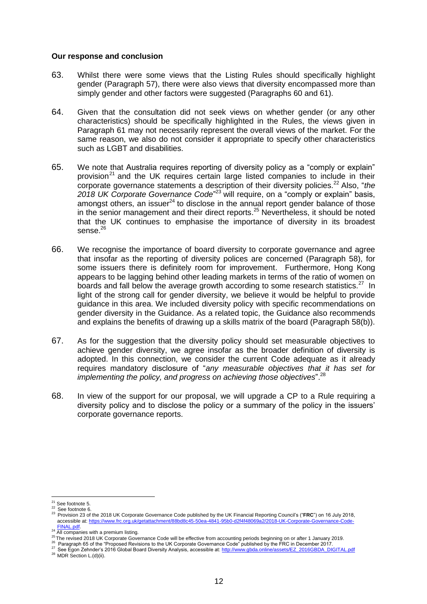#### **Our response and conclusion**

- 63. Whilst there were some views that the Listing Rules should specifically highlight gender (Paragraph [57\)](#page-10-0), there were also views that diversity encompassed more than simply gender and other factors were suggested (Paragraphs [60](#page-10-1) and [61\)](#page-10-2).
- 64. Given that the consultation did not seek views on whether gender (or any other characteristics) should be specifically highlighted in the Rules, the views given in Paragraph [61](#page-10-2) may not necessarily represent the overall views of the market. For the same reason, we also do not consider it appropriate to specify other characteristics such as LGBT and disabilities.
- 65. We note that Australia requires reporting of diversity policy as a "comply or explain" provision<sup>21</sup> and the UK requires certain large listed companies to include in their corporate governance statements a description of their diversity policies.<sup>22</sup> Also, "*the* 2018 UK Corporate Governance Code<sup>"23</sup> will require, on a "comply or explain" basis, amongst others, an issuer $^{24}$  to disclose in the annual report gender balance of those in the senior management and their direct reports. <sup>25</sup> Nevertheless, it should be noted that the UK continues to emphasise the importance of diversity in its broadest sense. 26
- 66. We recognise the importance of board diversity to corporate governance and agree that insofar as the reporting of diversity polices are concerned (Paragraph [58\)](#page-10-3), for some issuers there is definitely room for improvement. Furthermore, Hong Kong appears to be lagging behind other leading markets in terms of the ratio of women on boards and fall below the average growth according to some research statistics.<sup>27</sup> In light of the strong call for gender diversity, we believe it would be helpful to provide guidance in this area. We included diversity policy with specific recommendations on gender diversity in the Guidance. As a related topic, the Guidance also recommends and explains the benefits of drawing up a skills matrix of the board (Paragraph [58\(b\)\)](#page-10-4).
- 67. As for the suggestion that the diversity policy should set measurable objectives to achieve gender diversity, we agree insofar as the broader definition of diversity is adopted. In this connection, we consider the current Code adequate as it already requires mandatory disclosure of "*any measurable objectives that it has set for implementing the policy, and progress on achieving those objectives*".<sup>28</sup>
- 68. In view of the support for our proposal, we will upgrade a CP to a Rule requiring a diversity policy and to disclose the policy or a summary of the policy in the issuers' corporate governance reports.

1

 $21$  See footnote [5.](#page-3-0)

<sup>22</sup> See footnot[e 6.](#page-3-1) <sup>23</sup> Provision 23 of the 2018 UK Corporate Governance Code published by the UK Financial Reporting Council's ("**FRC**") on 16 July 2018, accessible at[: https://www.frc.org.uk/getattachment/88bd8c45-50ea-4841-95b0-d2f4f48069a2/2018-UK-Corporate-Governance-Code-](https://www.frc.org.uk/getattachment/88bd8c45-50ea-4841-95b0-d2f4f48069a2/2018-UK-Corporate-Governance-Code-FINAL.pdf)

<sup>&</sup>lt;sup>24</sup> **[FINAL.pdf.](https://www.frc.org.uk/getattachment/88bd8c45-50ea-4841-95b0-d2f4f48069a2/2018-UK-Corporate-Governance-Code-FINAL.pdf)**<br><sup>24</sup> All companies with a premium listing.

<sup>25</sup> The revised 2018 UK Corporate Governance Code will be effective from accounting periods beginning on or after 1 January 2019.

<sup>&</sup>lt;sup>26</sup> Paragraph 65 of the "Proposed Revisions to the UK Corporate Governance Code" published by the FRC in December 2017.

<sup>27</sup> See Egon Zehnder's 2016 Global Board Diversity Analysis, accessible at: [http://www.gbda.online/assets/EZ\\_2016GBDA\\_DIGITAL.pdf](http://www.gbda.online/assets/EZ_2016GBDA_DIGITAL.pdf) <sup>28</sup> MDR Section L.(d)(ii).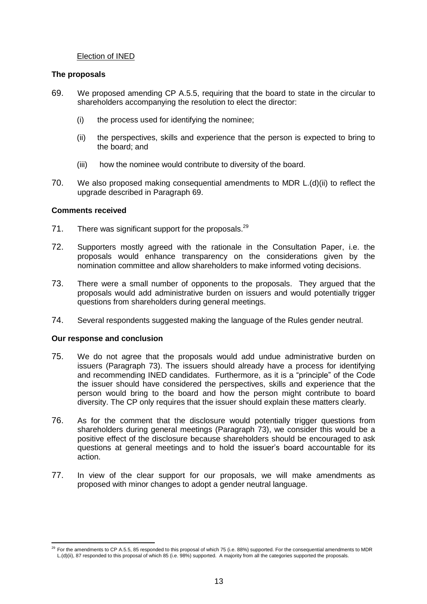## Election of INED

#### **The proposals**

- <span id="page-12-0"></span>69. We proposed amending CP A.5.5, requiring that the board to state in the circular to shareholders accompanying the resolution to elect the director:
	- (i) the process used for identifying the nominee;
	- (ii) the perspectives, skills and experience that the person is expected to bring to the board; and
	- (iii) how the nominee would contribute to diversity of the board.
- 70. We also proposed making consequential amendments to MDR L.(d)(ii) to reflect the upgrade described in Paragraph [69.](#page-12-0)

#### **Comments received**

- 71. There was significant support for the proposals.<sup>29</sup>
- 72. Supporters mostly agreed with the rationale in the Consultation Paper, i.e. the proposals would enhance transparency on the considerations given by the nomination committee and allow shareholders to make informed voting decisions.
- <span id="page-12-1"></span>73. There were a small number of opponents to the proposals. They argued that the proposals would add administrative burden on issuers and would potentially trigger questions from shareholders during general meetings.
- 74. Several respondents suggested making the language of the Rules gender neutral.

#### **Our response and conclusion**

- 75. We do not agree that the proposals would add undue administrative burden on issuers (Paragraph [73\)](#page-12-1). The issuers should already have a process for identifying and recommending INED candidates. Furthermore, as it is a "principle" of the Code the issuer should have considered the perspectives, skills and experience that the person would bring to the board and how the person might contribute to board diversity. The CP only requires that the issuer should explain these matters clearly.
- 76. As for the comment that the disclosure would potentially trigger questions from shareholders during general meetings (Paragraph [73\)](#page-12-1), we consider this would be a positive effect of the disclosure because shareholders should be encouraged to ask questions at general meetings and to hold the issuer's board accountable for its action.
- 77. In view of the clear support for our proposals, we will make amendments as proposed with minor changes to adopt a gender neutral language.

<sup>1</sup>  $^{29}$  For the amendments to CP A.5.5, 85 responded to this proposal of which 75 (i.e. 88%) supported. For the consequential amendments to MDR L.(d)(ii), 87 responded to this proposal of which 85 (i.e. 98%) supported. A majority from all the categories supported the proposals.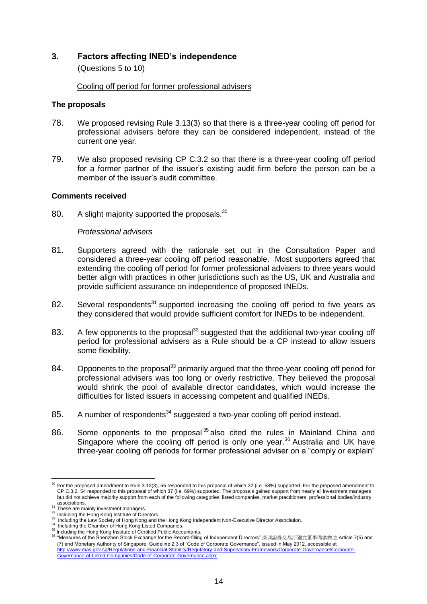## <span id="page-13-0"></span>**3. Factors affecting INED's independence**

(Questions 5 to 10)

Cooling off period for former professional advisers

#### **The proposals**

- 78. We proposed revising Rule 3.13(3) so that there is a three-year cooling off period for professional advisers before they can be considered independent, instead of the current one year.
- 79. We also proposed revising CP C.3.2 so that there is a three-year cooling off period for a former partner of the issuer's existing audit firm before the person can be a member of the issuer's audit committee.

#### **Comments received**

80. A slight majority supported the proposals. $30$ 

#### *Professional advisers*

- <span id="page-13-1"></span>81. Supporters agreed with the rationale set out in the Consultation Paper and considered a three-year cooling off period reasonable. Most supporters agreed that extending the cooling off period for former professional advisers to three years would better align with practices in other jurisdictions such as the US, UK and Australia and provide sufficient assurance on independence of proposed INEDs.
- <span id="page-13-2"></span>82. Several respondents<sup>31</sup> supported increasing the cooling off period to five years as they considered that would provide sufficient comfort for INEDs to be independent.
- 83. A few opponents to the proposal<sup>32</sup> suggested that the additional two-year cooling off period for professional advisers as a Rule should be a CP instead to allow issuers some flexibility.
- <span id="page-13-3"></span>84. Opponents to the proposal<sup>33</sup> primarily argued that the three-year cooling off period for professional advisers was too long or overly restrictive. They believed the proposal would shrink the pool of available director candidates, which would increase the difficulties for listed issuers in accessing competent and qualified INEDs.
- 85. A number of respondents<sup>34</sup> suggested a two-year cooling off period instead.
- 86. Some opponents to the proposal<sup>35</sup> also cited the rules in Mainland China and Singapore where the cooling off period is only one year.<sup>36</sup> Australia and UK have three-year cooling off periods for former professional adviser on a "comply or explain"

1

 $30$  For the proposed amendment to Rule 3.13(3), 55 responded to this proposal of which 32 (i.e. 58%) supported. For the proposed amendment to CP C.3.2, 54 responded to this proposal of which 37 (i.e. 69%) supported. The proposals gained support from nearly all investment managers but did not achieve majority support from each of the following categories: listed companies, market practitioners, professional bodies/industry associations.<br><sup>31</sup> These are mainly investment managers.

<sup>&</sup>lt;sup>32</sup> Including the Hong Kong Institute of Directors.

<sup>&</sup>lt;sup>33</sup> Including the Law Society of Hong Kong and the Hong Kong Independent Non-Executive Director Association.

<sup>&</sup>lt;sup>34</sup> Including the Chamber of Hong Kong Listed Companies.

<sup>&</sup>lt;sup>35</sup> Including the Hong Kong Institute of Certified Public Accountants.

<sup>36</sup> "Measures of the Shenzhen Stock Exchange for the Record-filling of Independent Directors" 深圳證券交易所獨立董事備案辦法 Article 7(5) and (7) and Monetary Authority of Singapore, Guideline 2.3 of "Code of Corporate Governance", issued in May 2012, accessible at [http://www.mas.gov.sg/Regulations-and-Financial-Stability/Regulatory-and-Supervisory-Framework/Corporate-Governance/Corporate-](http://www.mas.gov.sg/Regulations-and-Financial-Stability/Regulatory-and-Supervisory-Framework/Corporate-Governance/Corporate-Governance-of-Listed-Companies/Code-of-Corporate-Governance.aspx)[Governance-of-Listed-Companies/Code-of-Corporate-Governance.aspx.](http://www.mas.gov.sg/Regulations-and-Financial-Stability/Regulatory-and-Supervisory-Framework/Corporate-Governance/Corporate-Governance-of-Listed-Companies/Code-of-Corporate-Governance.aspx)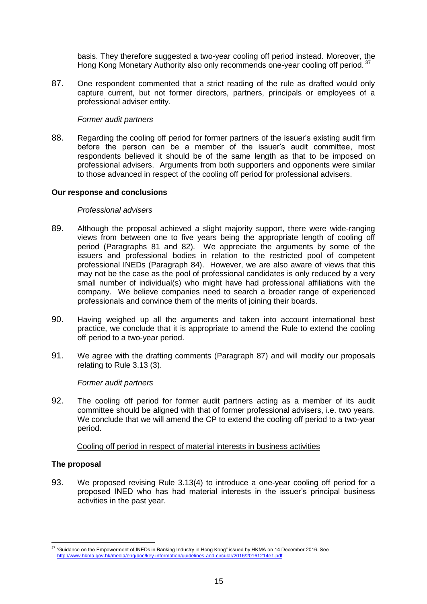basis. They therefore suggested a two-year cooling off period instead. Moreover, the Hong Kong Monetary Authority also only recommends one-year cooling off period.<sup>37</sup>

<span id="page-14-0"></span>87. One respondent commented that a strict reading of the rule as drafted would only capture current, but not former directors, partners, principals or employees of a professional adviser entity.

#### *Former audit partners*

88. Regarding the cooling off period for former partners of the issuer's existing audit firm before the person can be a member of the issuer's audit committee, most respondents believed it should be of the same length as that to be imposed on professional advisers. Arguments from both supporters and opponents were similar to those advanced in respect of the cooling off period for professional advisers.

#### **Our response and conclusions**

#### *Professional advisers*

- 89. Although the proposal achieved a slight majority support, there were wide-ranging views from between one to five years being the appropriate length of cooling off period (Paragraphs [81](#page-13-1) and [82\)](#page-13-2). We appreciate the arguments by some of the issuers and professional bodies in relation to the restricted pool of competent professional INEDs (Paragraph [84\)](#page-13-3). However, we are also aware of views that this may not be the case as the pool of professional candidates is only reduced by a very small number of individual(s) who might have had professional affiliations with the company. We believe companies need to search a broader range of experienced professionals and convince them of the merits of joining their boards.
- 90. Having weighed up all the arguments and taken into account international best practice, we conclude that it is appropriate to amend the Rule to extend the cooling off period to a two-year period.
- 91. We agree with the drafting comments (Paragraph [87\)](#page-14-0) and will modify our proposals relating to Rule 3.13 (3).

#### *Former audit partners*

92. The cooling off period for former audit partners acting as a member of its audit committee should be aligned with that of former professional advisers, i.e. two years. We conclude that we will amend the CP to extend the cooling off period to a two-year period.

Cooling off period in respect of material interests in business activities

## **The proposal**

93. We proposed revising Rule 3.13(4) to introduce a one-year cooling off period for a proposed INED who has had material interests in the issuer's principal business activities in the past year.

<sup>1</sup>  $37$  "Guidance on the Empowerment of INEDs in Banking Industry in Hong Kong" issued by HKMA on 14 December 2016. See <http://www.hkma.gov.hk/media/eng/doc/key-information/guidelines-and-circular/2016/20161214e1.pdf>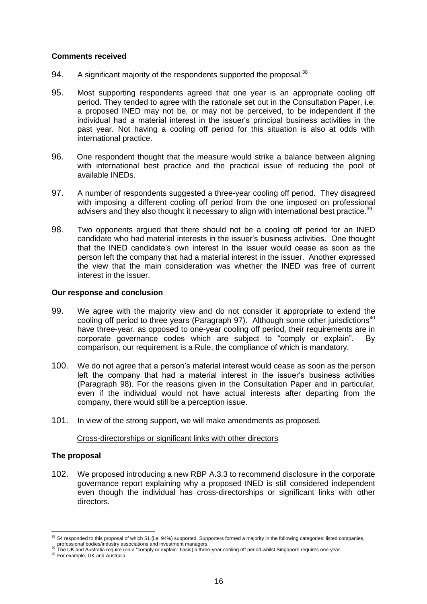#### **Comments received**

- 94. A significant majority of the respondents supported the proposal.<sup>38</sup>
- 95. Most supporting respondents agreed that one year is an appropriate cooling off period. They tended to agree with the rationale set out in the Consultation Paper, i.e. a proposed INED may not be, or may not be perceived, to be independent if the individual had a material interest in the issuer's principal business activities in the past year. Not having a cooling off period for this situation is also at odds with international practice.
- 96. One respondent thought that the measure would strike a balance between aligning with international best practice and the practical issue of reducing the pool of available INEDs.
- <span id="page-15-0"></span>97. A number of respondents suggested a three-year cooling off period. They disagreed with imposing a different cooling off period from the one imposed on professional advisers and they also thought it necessary to align with international best practice.<sup>39</sup>
- <span id="page-15-1"></span>98. Two opponents argued that there should not be a cooling off period for an INED candidate who had material interests in the issuer's business activities. One thought that the INED candidate's own interest in the issuer would cease as soon as the person left the company that had a material interest in the issuer. Another expressed the view that the main consideration was whether the INED was free of current interest in the issuer.

#### **Our response and conclusion**

- 99. We agree with the majority view and do not consider it appropriate to extend the cooling off period to three years (Paragraph [97\)](#page-15-0). Although some other iurisdictions<sup>40</sup> have three-year, as opposed to one-year cooling off period, their requirements are in corporate governance codes which are subject to "comply or explain". By comparison, our requirement is a Rule, the compliance of which is mandatory.
- 100. We do not agree that a person's material interest would cease as soon as the person left the company that had a material interest in the issuer's business activities (Paragraph [98\)](#page-15-1). For the reasons given in the Consultation Paper and in particular, even if the individual would not have actual interests after departing from the company, there would still be a perception issue.
- 101. In view of the strong support, we will make amendments as proposed.

## Cross-directorships or significant links with other directors

## **The proposal**

1

102. We proposed introducing a new RBP A.3.3 to recommend disclosure in the corporate governance report explaining why a proposed INED is still considered independent even though the individual has cross-directorships or significant links with other directors.

40 For example, UK and Australia

<sup>&</sup>lt;sup>38</sup> 54 responded to this proposal of which 51 (i.e. 94%) supported. Supporters formed a majority in the following categories: listed companies,

professional bodies/industry associations and investment managers.<br><sup>39</sup> The UK and Australia require (on a "comply or explain" basis) a three-year cooling off period whilst Singapore requires one year.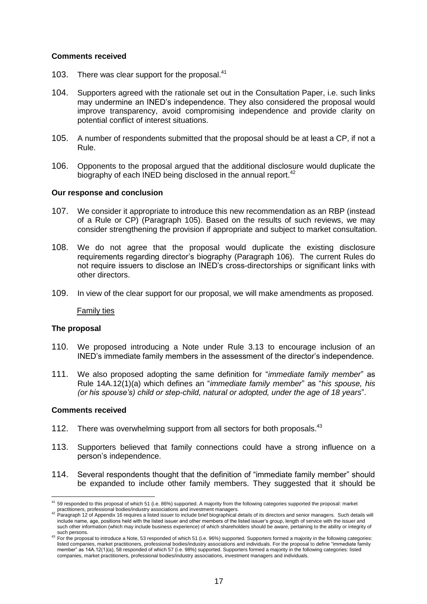#### **Comments received**

- 103. There was clear support for the proposal.<sup>41</sup>
- 104. Supporters agreed with the rationale set out in the Consultation Paper, i.e. such links may undermine an INED's independence. They also considered the proposal would improve transparency, avoid compromising independence and provide clarity on potential conflict of interest situations.
- <span id="page-16-0"></span>105. A number of respondents submitted that the proposal should be at least a CP, if not a Rule.
- <span id="page-16-1"></span>106. Opponents to the proposal argued that the additional disclosure would duplicate the biography of each INED being disclosed in the annual report.<sup>42</sup>

#### **Our response and conclusion**

- 107. We consider it appropriate to introduce this new recommendation as an RBP (instead of a Rule or CP) (Paragraph [105\)](#page-16-0). Based on the results of such reviews, we may consider strengthening the provision if appropriate and subject to market consultation.
- 108. We do not agree that the proposal would duplicate the existing disclosure requirements regarding director's biography (Paragraph [106\)](#page-16-1). The current Rules do not require issuers to disclose an INED's cross-directorships or significant links with other directors.
- 109. In view of the clear support for our proposal, we will make amendments as proposed.

#### Family ties

#### **The proposal**

- 110. We proposed introducing a Note under Rule 3.13 to encourage inclusion of an INED's immediate family members in the assessment of the director's independence.
- 111. We also proposed adopting the same definition for "*immediate family member*" as Rule 14A.12(1)(a) which defines an "*immediate family member*" as "*his spouse, his (or his spouse's) child or step-child, natural or adopted, under the age of 18 years*".

#### **Comments received**

- <span id="page-16-3"></span>112. There was overwhelming support from all sectors for both proposals.<sup>43</sup>
- 113. Supporters believed that family connections could have a strong influence on a person's independence.
- <span id="page-16-2"></span>114. Several respondents thought that the definition of "immediate family member" should be expanded to include other family members. They suggested that it should be

<sup>1</sup>  $41$  59 responded to this proposal of which 51 (i.e. 86%) supported. A majority from the following categories supported the proposal: market

practitioners, professional bodies/industry associations and investment managers.<br><sup>42</sup> Paragraph 12 of Appendix 16 requires a listed issuer to include brief biographical details of its directors and senior managers. Such d include name, age, positions held with the listed issuer and other members of the listed issuer's group, length of service with the issuer and such other information (which may include business experience) of which shareholders should be aware, pertaining to the ability or integrity of such persons.

<sup>&</sup>lt;sup>43</sup> For the proposal to introduce a Note, 53 responded of which 51 (i.e. 96%) supported. Supporters formed a majority in the following categories: listed companies, market practitioners, professional bodies/industry associations and individuals. For the proposal to define "immediate family member" as 14A.12(1)(a), 58 responded of which 57 (i.e. 98%) supported. Supporters formed a majority in the following categories: listed companies, market practitioners, professional bodies/industry associations, investment managers and individuals.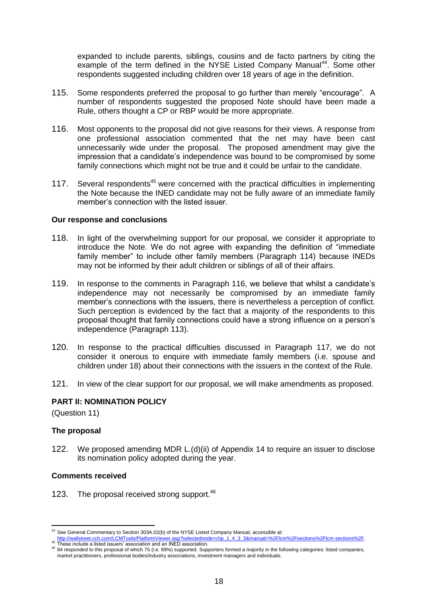expanded to include parents, siblings, cousins and de facto partners by citing the example of the term defined in the NYSE Listed Company Manual<sup>44</sup>. Some other respondents suggested including children over 18 years of age in the definition.

- 115. Some respondents preferred the proposal to go further than merely "encourage". A number of respondents suggested the proposed Note should have been made a Rule, others thought a CP or RBP would be more appropriate.
- <span id="page-17-1"></span>116. Most opponents to the proposal did not give reasons for their views. A response from one professional association commented that the net may have been cast unnecessarily wide under the proposal. The proposed amendment may give the impression that a candidate's independence was bound to be compromised by some family connections which might not be true and it could be unfair to the candidate.
- <span id="page-17-2"></span>117. Several respondents<sup>45</sup> were concerned with the practical difficulties in implementing the Note because the INED candidate may not be fully aware of an immediate family member's connection with the listed issuer.

#### **Our response and conclusions**

- 118. In light of the overwhelming support for our proposal, we consider it appropriate to introduce the Note. We do not agree with expanding the definition of "immediate family member" to include other family members (Paragraph [114\)](#page-16-2) because INEDs may not be informed by their adult children or siblings of all of their affairs.
- 119. In response to the comments in Paragraph [116,](#page-17-1) we believe that whilst a candidate's independence may not necessarily be compromised by an immediate family member's connections with the issuers, there is nevertheless a perception of conflict. Such perception is evidenced by the fact that a majority of the respondents to this proposal thought that family connections could have a strong influence on a person's independence (Paragraph [113\)](#page-16-3).
- 120. In response to the practical difficulties discussed in Paragraph [117,](#page-17-2) we do not consider it onerous to enquire with immediate family members (i.e. spouse and children under 18) about their connections with the issuers in the context of the Rule.
- <span id="page-17-0"></span>121. In view of the clear support for our proposal, we will make amendments as proposed.

## **PART II: NOMINATION POLICY**

(Question 11)

## **The proposal**

122. We proposed amending MDR L.(d)(ii) of Appendix 14 to require an issuer to disclose its nomination policy adopted during the year.

## **Comments received**

123. The proposal received strong support.<sup>46</sup>

<sup>&</sup>lt;u>.</u> 44 See General Commentary to Section 303A.02(b) of the NYSE Listed Company Manual, accessible at:

[http://wallstreet.cch.com/LCMTools/PlatformViewer.asp?selectednode=chp\\_1\\_4\\_3\\_3&manual=%2Flcm%2Fsections%2Flcm-sections%2F.](http://wallstreet.cch.com/LCMTools/PlatformViewer.asp?selectednode=chp_1_4_3_3&manual=%2Flcm%2Fsections%2Flcm-sections%2F)<br><sup>45</sup> These include a listed issuers' association and an INED association.

<sup>46</sup> 84 responded to this proposal of which 75 (i.e. 89%) supported. Supporters formed a majority in the following categories: listed companies, market practitioners, professional bodies/industry associations, investment managers and individuals.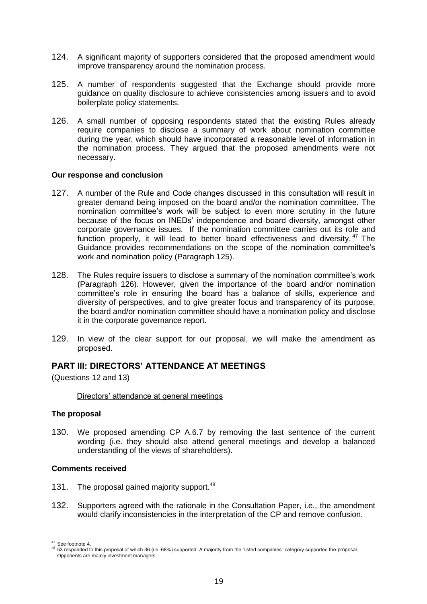- 124. A significant majority of supporters considered that the proposed amendment would improve transparency around the nomination process.
- <span id="page-18-1"></span>125. A number of respondents suggested that the Exchange should provide more guidance on quality disclosure to achieve consistencies among issuers and to avoid boilerplate policy statements.
- <span id="page-18-2"></span>126. A small number of opposing respondents stated that the existing Rules already require companies to disclose a summary of work about nomination committee during the year, which should have incorporated a reasonable level of information in the nomination process. They argued that the proposed amendments were not necessary.

#### **Our response and conclusion**

- 127. A number of the Rule and Code changes discussed in this consultation will result in greater demand being imposed on the board and/or the nomination committee. The nomination committee's work will be subject to even more scrutiny in the future because of the focus on INEDs' independence and board diversity, amongst other corporate governance issues. If the nomination committee carries out its role and function properly, it will lead to better board effectiveness and diversity.<sup>47</sup> The Guidance provides recommendations on the scope of the nomination committee's work and nomination policy (Paragraph [125\)](#page-18-1).
- 128. The Rules require issuers to disclose a summary of the nomination committee's work (Paragraph [126\)](#page-18-2). However, given the importance of the board and/or nomination committee's role in ensuring the board has a balance of skills, experience and diversity of perspectives, and to give greater focus and transparency of its purpose, the board and/or nomination committee should have a nomination policy and disclose it in the corporate governance report.
- 129. In view of the clear support for our proposal, we will make the amendment as proposed.

## <span id="page-18-0"></span>**PART III: DIRECTORS' ATTENDANCE AT MEETINGS**

(Questions 12 and 13)

## Directors' attendance at general meetings

## **The proposal**

130. We proposed amending CP A.6.7 by removing the last sentence of the current wording (i.e. they should also attend general meetings and develop a balanced understanding of the views of shareholders).

#### **Comments received**

- 131. The proposal gained majority support.<sup>48</sup>
- 132. Supporters agreed with the rationale in the Consultation Paper, i.e., the amendment would clarify inconsistencies in the interpretation of the CP and remove confusion.

<sup>1</sup> <sup>47</sup> See footnot[e 4.](#page-3-2)

<sup>48 53</sup> responded to this proposal of which 36 (i.e. 68%) supported. A majority from the "listed companies" category supported the proposal. Opponents are mainly investment managers.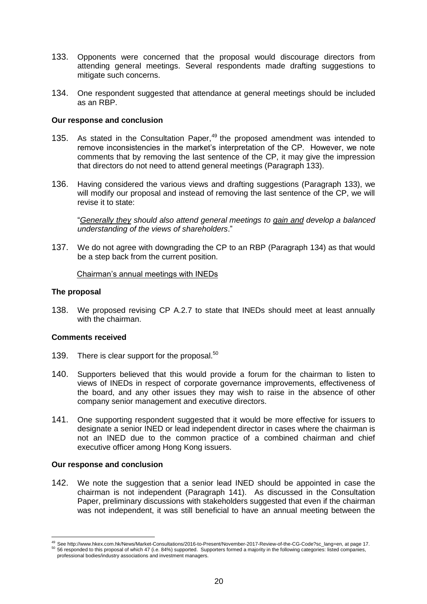- <span id="page-19-0"></span>133. Opponents were concerned that the proposal would discourage directors from attending general meetings. Several respondents made drafting suggestions to mitigate such concerns.
- <span id="page-19-1"></span>134. One respondent suggested that attendance at general meetings should be included as an RBP.

### **Our response and conclusion**

- 135. As stated in the Consultation Paper,<sup>49</sup> the proposed amendment was intended to remove inconsistencies in the market's interpretation of the CP. However, we note comments that by removing the last sentence of the CP, it may give the impression that directors do not need to attend general meetings (Paragraph [133\)](#page-19-0).
- 136. Having considered the various views and drafting suggestions (Paragraph [133\)](#page-19-0), we will modify our proposal and instead of removing the last sentence of the CP, we will revise it to state:

"*Generally they should also attend general meetings to gain and develop a balanced understanding of the views of shareholders*."

137. We do not agree with downgrading the CP to an RBP (Paragraph [134\)](#page-19-1) as that would be a step back from the current position.

#### Chairman's annual meetings with INEDs

#### **The proposal**

138. We proposed revising CP A.2.7 to state that INEDs should meet at least annually with the chairman.

#### **Comments received**

- 139. There is clear support for the proposal.<sup>50</sup>
- 140. Supporters believed that this would provide a forum for the chairman to listen to views of INEDs in respect of corporate governance improvements, effectiveness of the board, and any other issues they may wish to raise in the absence of other company senior management and executive directors.
- <span id="page-19-2"></span>141. One supporting respondent suggested that it would be more effective for issuers to designate a senior INED or lead independent director in cases where the chairman is not an INED due to the common practice of a combined chairman and chief executive officer among Hong Kong issuers.

#### **Our response and conclusion**

1

142. We note the suggestion that a senior lead INED should be appointed in case the chairman is not independent (Paragraph [141\)](#page-19-2). As discussed in the Consultation Paper, preliminary discussions with stakeholders suggested that even if the chairman was not independent, it was still beneficial to have an annual meeting between the

<sup>49</sup> See http://www.hkex.com.hk/News/Market-Consultations/2016-to-Present/November-2017-Review-of-the-CG-Code?sc\_lang=en, at page 17. <sup>50</sup> 56 responded to this proposal of which 47 (i.e. 84%) supported. Supporters formed a majority in the following categories: listed companies, professional bodies/industry associations and investment managers.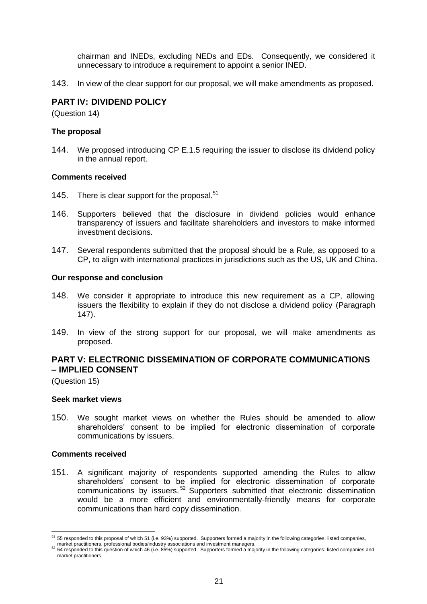<span id="page-20-0"></span>chairman and INEDs, excluding NEDs and EDs. Consequently, we considered it unnecessary to introduce a requirement to appoint a senior INED.

143. In view of the clear support for our proposal, we will make amendments as proposed.

## **PART IV: DIVIDEND POLICY**

(Question 14)

## **The proposal**

144. We proposed introducing CP E.1.5 requiring the issuer to disclose its dividend policy in the annual report.

#### **Comments received**

- 145. There is clear support for the proposal.<sup>51</sup>
- 146. Supporters believed that the disclosure in dividend policies would enhance transparency of issuers and facilitate shareholders and investors to make informed investment decisions.
- <span id="page-20-2"></span>147. Several respondents submitted that the proposal should be a Rule, as opposed to a CP, to align with international practices in jurisdictions such as the US, UK and China.

#### **Our response and conclusion**

- 148. We consider it appropriate to introduce this new requirement as a CP, allowing issuers the flexibility to explain if they do not disclose a dividend policy (Paragraph [147\)](#page-20-2).
- 149. In view of the strong support for our proposal, we will make amendments as proposed.

## <span id="page-20-1"></span>**PART V: ELECTRONIC DISSEMINATION OF CORPORATE COMMUNICATIONS – IMPLIED CONSENT**

(Question 15)

#### **Seek market views**

150. We sought market views on whether the Rules should be amended to allow shareholders' consent to be implied for electronic dissemination of corporate communications by issuers.

#### **Comments received**

151. A significant majority of respondents supported amending the Rules to allow shareholders' consent to be implied for electronic dissemination of corporate communications by issuers. <sup>52</sup> Supporters submitted that electronic dissemination would be a more efficient and environmentally-friendly means for corporate communications than hard copy dissemination.

<sup>1</sup> <sup>51</sup> 55 responded to this proposal of which 51 (i.e. 93%) supported. Supporters formed a majority in the following categories: listed companies,

market practitioners, professional bodies/industry associations and investment managers.

FIGURE PRECIMBLES, PRICESSIONS DOILS INSTEAD. THE CONDUCT OF THE RECISION CONTROL COMPANIES AND TRIMATE PRECISION SUPPORTERS FOR A majority in the following categories: listed companies and the following categories: listed market practitioners.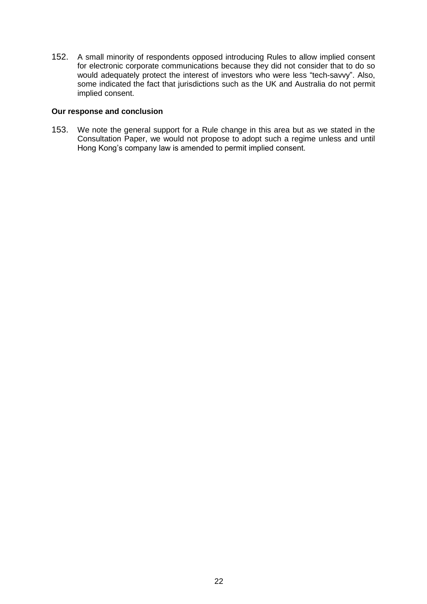152. A small minority of respondents opposed introducing Rules to allow implied consent for electronic corporate communications because they did not consider that to do so would adequately protect the interest of investors who were less "tech-savvy". Also, some indicated the fact that jurisdictions such as the UK and Australia do not permit implied consent.

## **Our response and conclusion**

153. We note the general support for a Rule change in this area but as we stated in the Consultation Paper, we would not propose to adopt such a regime unless and until Hong Kong's company law is amended to permit implied consent.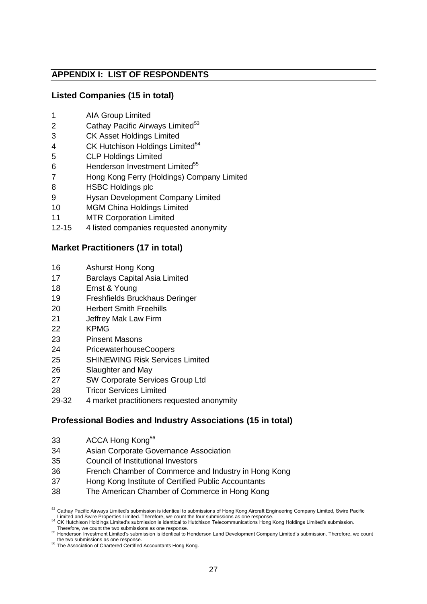## **APPENDIX I: LIST OF RESPONDENTS**

## **Listed Companies (15 in total)**

- AIA Group Limited
- 2 Cathay Pacific Airways Limited<sup>53</sup>
- CK Asset Holdings Limited
- 4 CK Hutchison Holdings Limited<sup>54</sup>
- CLP Holdings Limited
- 6 Henderson Investment Limited<sup>55</sup>
- Hong Kong Ferry (Holdings) Company Limited
- HSBC Holdings plc
- Hysan Development Company Limited
- MGM China Holdings Limited
- MTR Corporation Limited
- 12-15 4 listed companies requested anonymity

## **Market Practitioners (17 in total)**

- Ashurst Hong Kong
- Barclays Capital Asia Limited
- Ernst & Young
- Freshfields Bruckhaus Deringer
- Herbert Smith Freehills
- Jeffrey Mak Law Firm
- KPMG
- Pinsent Masons
- PricewaterhouseCoopers
- SHINEWING Risk Services Limited
- Slaughter and May
- SW Corporate Services Group Ltd
- Tricor Services Limited
- 29-32 4 market practitioners requested anonymity

## **Professional Bodies and Industry Associations (15 in total)**

- 33 ACCA Hong Kong<sup>56</sup>
- Asian Corporate Governance Association
- Council of Institutional Investors
- French Chamber of Commerce and Industry in Hong Kong
- Hong Kong Institute of Certified Public Accountants
- The American Chamber of Commerce in Hong Kong

<sup>53</sup> Cathay Pacific Airways Limited's submission is identical to submissions of Hong Kong Aircraft Engineering Company Limited, Swire Pacific

Limited and Swire Properties Limited. Therefore, we count the four submissions as one response.<br>A CK Hutchison Holdings Limited's submission is identical to Hutchison Telecommunications Hong Kong Holdings Limited's submiss Therefore, we count the two submissions as one response.

 Henderson Investment Limited's submission is identical to Henderson Land Development Company Limited's submission. Therefore, we count the two submissions as one response.

The Association of Chartered Certified Accountants Hong Kong.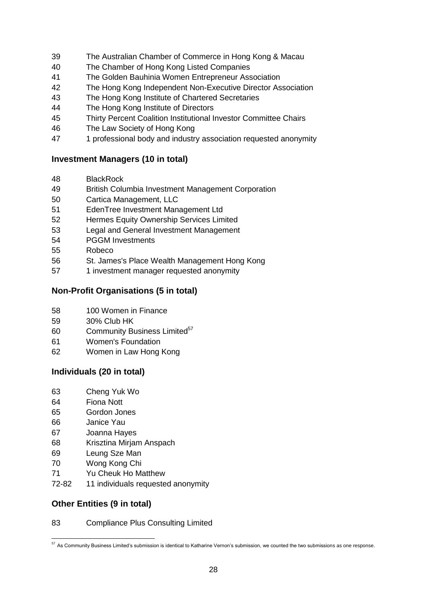- The Australian Chamber of Commerce in Hong Kong & Macau
- The Chamber of Hong Kong Listed Companies
- The Golden Bauhinia Women Entrepreneur Association
- The Hong Kong Independent Non-Executive Director Association
- The Hong Kong Institute of Chartered Secretaries
- The Hong Kong Institute of Directors
- Thirty Percent Coalition Institutional Investor Committee Chairs
- The Law Society of Hong Kong
- 1 professional body and industry association requested anonymity

## **Investment Managers (10 in total)**

- BlackRock
- British Columbia Investment Management Corporation
- Cartica Management, LLC
- EdenTree Investment Management Ltd
- Hermes Equity Ownership Services Limited
- Legal and General Investment Management
- PGGM Investments
- Robeco
- St. James's Place Wealth Management Hong Kong
- 57 1 investment manager requested anonymity

## **Non-Profit Organisations (5 in total)**

- 100 Women in Finance
- 30% Club HK
- 60 Community Business Limited<sup>57</sup>
- Women's Foundation
- Women in Law Hong Kong

## **Individuals (20 in total)**

- Cheng Yuk Wo
- Fiona Nott
- Gordon Jones
- Janice Yau
- Joanna Hayes
- Krisztina Mirjam Anspach
- Leung Sze Man
- Wong Kong Chi
- Yu Cheuk Ho Matthew
- 72-82 11 individuals requested anonymity

## **Other Entities (9 in total)**

## Compliance Plus Consulting Limited

<sup>&</sup>lt;u>.</u> As Community Business Limited's submission is identical to Katharine Vernon's submission, we counted the two submissions as one response.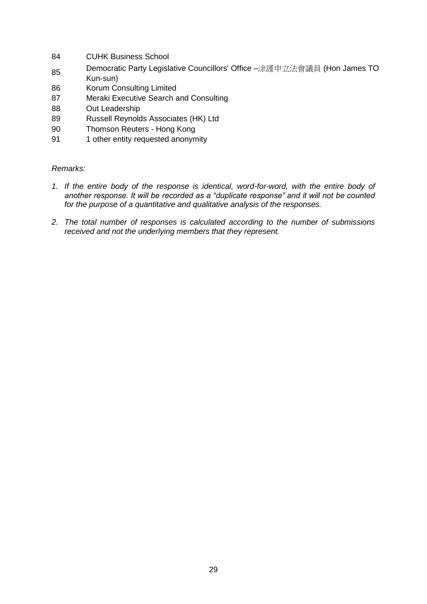- 84 CUHK Business School
- <sup>85</sup> Democratic Party Legislative Councillors' Office –涂謹申立法會議員 (Hon James TO Kun-sun)
- 86 Korum Consulting Limited
- 87 Meraki Executive Search and Consulting
- 88 Out Leadership
- 89 Russell Reynolds Associates (HK) Ltd
- 90 Thomson Reuters Hong Kong
- 91 1 other entity requested anonymity

## *Remarks:*

- *1. If the entire body of the response is identical, word-for-word, with the entire body of another response. It will be recorded as a "duplicate response" and it will not be counted for the purpose of a quantitative and qualitative analysis of the responses.*
- *2. The total number of responses is calculated according to the number of submissions received and not the underlying members that they represent.*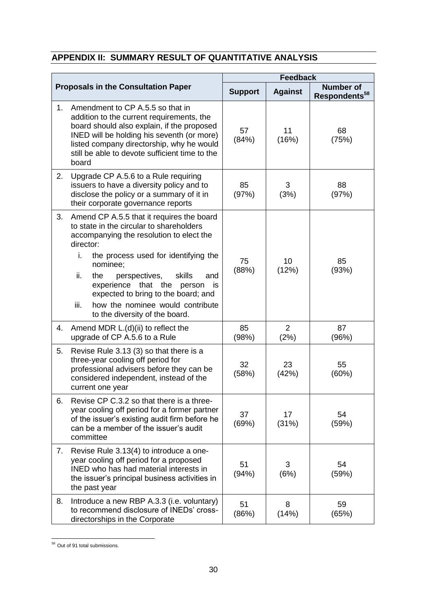## **APPENDIX II: SUMMARY RESULT OF QUANTITATIVE ANALYSIS**

|                                            |                                                                                                                                                                                                                                                                                                                                                                                                                         | <b>Feedback</b> |                |                                               |
|--------------------------------------------|-------------------------------------------------------------------------------------------------------------------------------------------------------------------------------------------------------------------------------------------------------------------------------------------------------------------------------------------------------------------------------------------------------------------------|-----------------|----------------|-----------------------------------------------|
| <b>Proposals in the Consultation Paper</b> |                                                                                                                                                                                                                                                                                                                                                                                                                         | <b>Support</b>  | <b>Against</b> | <b>Number of</b><br>Respondents <sup>58</sup> |
| 1.                                         | Amendment to CP A.5.5 so that in<br>addition to the current requirements, the<br>board should also explain, if the proposed<br>INED will be holding his seventh (or more)<br>listed company directorship, why he would<br>still be able to devote sufficient time to the<br>board                                                                                                                                       | 57<br>(84%)     | 11<br>(16%)    | 68<br>(75%)                                   |
| 2.                                         | Upgrade CP A.5.6 to a Rule requiring<br>issuers to have a diversity policy and to<br>disclose the policy or a summary of it in<br>their corporate governance reports                                                                                                                                                                                                                                                    | 85<br>(97%)     | 3<br>(3%)      | 88<br>(97%)                                   |
| 3.                                         | Amend CP A.5.5 that it requires the board<br>to state in the circular to shareholders<br>accompanying the resolution to elect the<br>director:<br>i.<br>the process used for identifying the<br>nominee;<br>ii.<br>the<br>perspectives,<br>skills<br>and<br>that the<br>experience<br>person<br>is<br>expected to bring to the board; and<br>how the nominee would contribute<br>iii.<br>to the diversity of the board. | 75<br>(88%)     | 10<br>(12%)    | 85<br>(93%)                                   |
| 4.                                         | Amend MDR L.(d)(ii) to reflect the<br>upgrade of CP A.5.6 to a Rule                                                                                                                                                                                                                                                                                                                                                     | 85<br>(98%)     | 2<br>(2%)      | 87<br>(96%)                                   |
| 5.                                         | Revise Rule 3.13 (3) so that there is a<br>three-year cooling off period for<br>professional advisers before they can be<br>considered independent, instead of the<br>current one year                                                                                                                                                                                                                                  | 32<br>(58%)     | 23<br>(42%)    | 55<br>(60%)                                   |
| 6.                                         | Revise CP C.3.2 so that there is a three-<br>year cooling off period for a former partner<br>of the issuer's existing audit firm before he<br>can be a member of the issuer's audit<br>committee                                                                                                                                                                                                                        | 37<br>(69%)     | 17<br>(31%)    | 54<br>(59%)                                   |
| 7.                                         | Revise Rule 3.13(4) to introduce a one-<br>year cooling off period for a proposed<br><b>INED</b> who has had material interests in<br>the issuer's principal business activities in<br>the past year                                                                                                                                                                                                                    | 51<br>(94%)     | 3<br>(6%)      | 54<br>(59%)                                   |
| 8.                                         | Introduce a new RBP A.3.3 (i.e. voluntary)<br>to recommend disclosure of INEDs' cross-<br>directorships in the Corporate                                                                                                                                                                                                                                                                                                | 51<br>(86%)     | 8<br>(14%)     | 59<br>(65%)                                   |

<sup>&</sup>lt;u>.</u> 58 Out of 91 total submissions.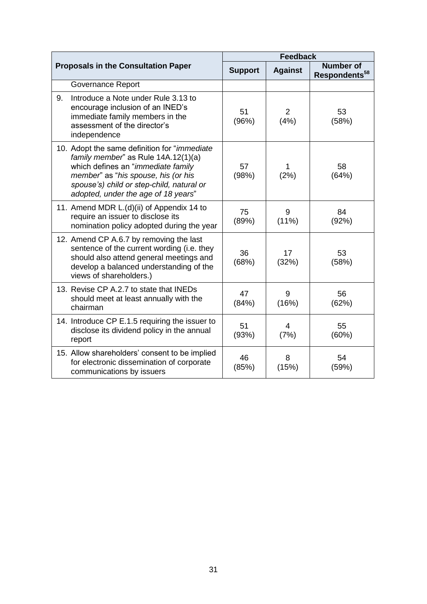| <b>Proposals in the Consultation Paper</b> |                                                                                                                                                                                                                                                              | <b>Feedback</b> |                        |                                               |
|--------------------------------------------|--------------------------------------------------------------------------------------------------------------------------------------------------------------------------------------------------------------------------------------------------------------|-----------------|------------------------|-----------------------------------------------|
|                                            |                                                                                                                                                                                                                                                              | <b>Support</b>  | <b>Against</b>         | <b>Number of</b><br>Respondents <sup>58</sup> |
|                                            | <b>Governance Report</b>                                                                                                                                                                                                                                     |                 |                        |                                               |
| 9.                                         | Introduce a Note under Rule 3.13 to<br>encourage inclusion of an INED's<br>immediate family members in the<br>assessment of the director's<br>independence                                                                                                   | 51<br>(96%)     | $\overline{2}$<br>(4%) | 53<br>(58%)                                   |
|                                            | 10. Adopt the same definition for " <i>immediate</i><br>family member" as Rule 14A.12(1)(a)<br>which defines an "immediate family<br>member" as "his spouse, his (or his<br>spouse's) child or step-child, natural or<br>adopted, under the age of 18 years" | 57<br>(98%)     | (2%)                   | 58<br>(64%)                                   |
|                                            | 11. Amend MDR L.(d)(ii) of Appendix 14 to<br>require an issuer to disclose its<br>nomination policy adopted during the year                                                                                                                                  | 75<br>(89%)     | 9<br>$(11\%)$          | 84<br>(92%)                                   |
|                                            | 12. Amend CP A.6.7 by removing the last<br>sentence of the current wording (i.e. they<br>should also attend general meetings and<br>develop a balanced understanding of the<br>views of shareholders.)                                                       | 36<br>(68%)     | 17<br>(32%)            | 53<br>(58%)                                   |
|                                            | 13. Revise CP A.2.7 to state that INEDs<br>should meet at least annually with the<br>chairman                                                                                                                                                                | 47<br>(84%)     | 9<br>(16%)             | 56<br>(62%)                                   |
|                                            | 14. Introduce CP E.1.5 requiring the issuer to<br>disclose its dividend policy in the annual<br>report                                                                                                                                                       | 51<br>(93%)     | 4<br>(7%)              | 55<br>(60%)                                   |
|                                            | 15. Allow shareholders' consent to be implied<br>for electronic dissemination of corporate<br>communications by issuers                                                                                                                                      | 46<br>(85%)     | 8<br>(15%)             | 54<br>(59%)                                   |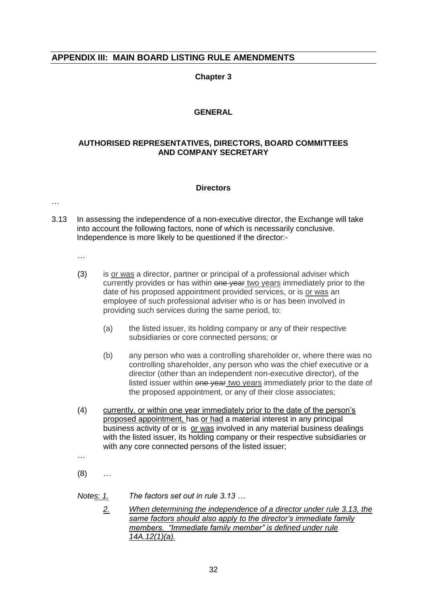## **APPENDIX III: MAIN BOARD LISTING RULE AMENDMENTS**

### **Chapter 3**

## **GENERAL**

### **AUTHORISED REPRESENTATIVES, DIRECTORS, BOARD COMMITTEES AND COMPANY SECRETARY**

#### **Directors**

…

- 3.13 In assessing the independence of a non-executive director, the Exchange will take into account the following factors, none of which is necessarily conclusive. Independence is more likely to be questioned if the director:-
	- …
	- (3) is or was a director, partner or principal of a professional adviser which currently provides or has within one year two years immediately prior to the date of his proposed appointment provided services, or is or was an employee of such professional adviser who is or has been involved in providing such services during the same period, to:
		- (a) the listed issuer, its holding company or any of their respective subsidiaries or core connected persons; or
		- (b) any person who was a controlling shareholder or, where there was no controlling shareholder, any person who was the chief executive or a director (other than an independent non-executive director), of the listed issuer within one year two years immediately prior to the date of the proposed appointment, or any of their close associates;
	- (4) currently, or within one year immediately prior to the date of the person's proposed appointment, has or had a material interest in any principal business activity of or is or was involved in any material business dealings with the listed issuer, its holding company or their respective subsidiaries or with any core connected persons of the listed issuer;

…

 $(8)$  ...

- *Notes: 1. The factors set out in rule 3.13 …*
	- *2. When determining the independence of a director under rule 3.13, the same factors should also apply to the director's immediate family members. "Immediate family member" is defined under rule 14A.12(1)(a).*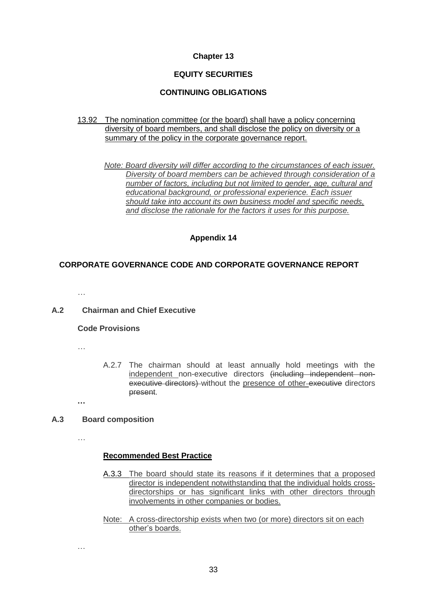#### **Chapter 13**

## **EQUITY SECURITIES**

## **CONTINUING OBLIGATIONS**

#### 13.92 The nomination committee (or the board) shall have a policy concerning diversity of board members, and shall disclose the policy on diversity or a summary of the policy in the corporate governance report.

*Note: Board diversity will differ according to the circumstances of each issuer. Diversity of board members can be achieved through consideration of a number of factors, including but not limited to gender, age, cultural and educational background, or professional experience. Each issuer should take into account its own business model and specific needs, and disclose the rationale for the factors it uses for this purpose.*

## **Appendix 14**

## **CORPORATE GOVERNANCE CODE AND CORPORATE GOVERNANCE REPORT**

…

## **A.2 Chairman and Chief Executive**

#### **Code Provisions**

…

A.2.7 The chairman should at least annually hold meetings with the independent non-executive directors (including independent nonexecutive directors) without the presence of other executive directors present.

**…**

## **A.3 Board composition**

…

…

## **Recommended Best Practice**

- A.3.3 The board should state its reasons if it determines that a proposed director is independent notwithstanding that the individual holds crossdirectorships or has significant links with other directors through involvements in other companies or bodies.
- Note: A cross-directorship exists when two (or more) directors sit on each other's boards.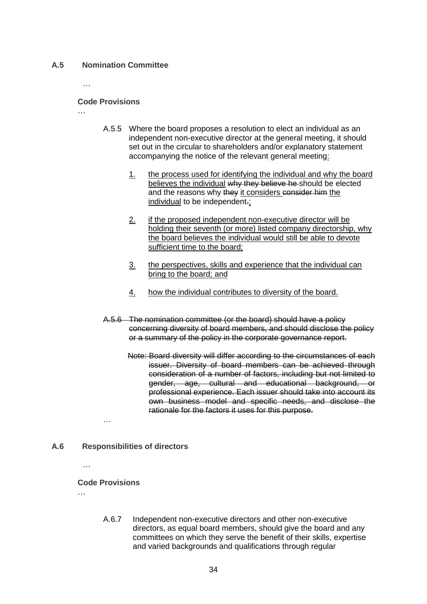#### **A.5 Nomination Committee**

…

…

#### **Code Provisions**

- A.5.5 Where the board proposes a resolution to elect an individual as an independent non-executive director at the general meeting, it should set out in the circular to shareholders and/or explanatory statement accompanying the notice of the relevant general meeting:
	- 1. the process used for identifying the individual and why the board believes the individual why they believe he should be elected and the reasons why they it considers consider him the individual to be independent.;
	- 2. if the proposed independent non-executive director will be holding their seventh (or more) listed company directorship, why the board believes the individual would still be able to devote sufficient time to the board;
	- 3. the perspectives, skills and experience that the individual can bring to the board; and
	- 4. how the individual contributes to diversity of the board.
- A.5.6 The nomination committee (or the board) should have a policy concerning diversity of board members, and should disclose the policy or a summary of the policy in the corporate governance report.
	- Note: Board diversity will differ according to the circumstances of each issuer. Diversity of board members can be achieved through consideration of a number of factors, including but not limited to gender, age, cultural and educational background, or professional experience. Each issuer should take into account its own business model and specific needs, and disclose the rationale for the factors it uses for this purpose.
- **A.6 Responsibilities of directors**
	- …

## **Code Provisions**

…

…

A.6.7 Independent non-executive directors and other non-executive directors, as equal board members, should give the board and any committees on which they serve the benefit of their skills, expertise and varied backgrounds and qualifications through regular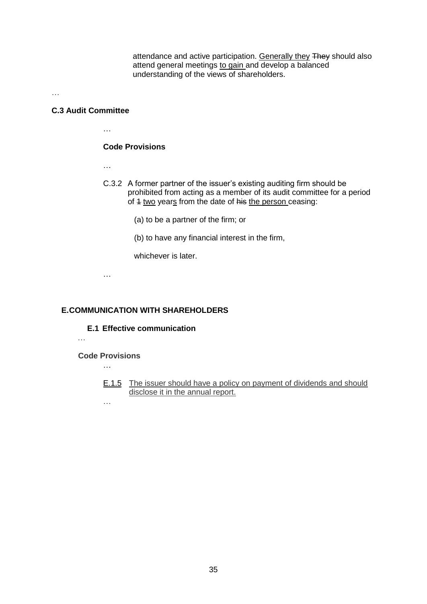attendance and active participation. Generally they They should also attend general meetings to gain and develop a balanced understanding of the views of shareholders.

…

#### **C.3 Audit Committee**

…

### **Code Provisions**

…

- C.3.2 A former partner of the issuer's existing auditing firm should be prohibited from acting as a member of its audit committee for a period of 4 two years from the date of his the person ceasing:
	- (a) to be a partner of the firm; or
	- (b) to have any financial interest in the firm,

whichever is later.

…

#### **E.COMMUNICATION WITH SHAREHOLDERS**

**E.1 Effective communication**

…

**Code Provisions**

…

E.1.5 The issuer should have a policy on payment of dividends and should disclose it in the annual report.

…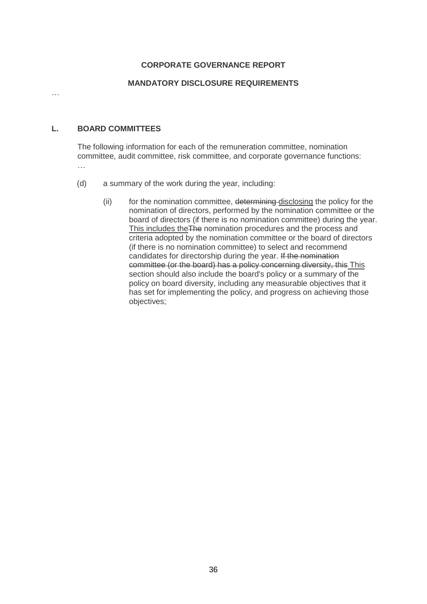## **CORPORATE GOVERNANCE REPORT**

## **MANDATORY DISCLOSURE REQUIREMENTS**

#### **L. BOARD COMMITTEES**

The following information for each of the remuneration committee, nomination committee, audit committee, risk committee, and corporate governance functions:

…

…

- (d) a summary of the work during the year, including:
	- (ii) for the nomination committee, determining disclosing the policy for the nomination of directors, performed by the nomination committee or the board of directors (if there is no nomination committee) during the year. This includes theThe nomination procedures and the process and criteria adopted by the nomination committee or the board of directors (if there is no nomination committee) to select and recommend candidates for directorship during the year. If the nomination committee (or the board) has a policy concerning diversity, this This section should also include the board's policy or a summary of the policy on board diversity, including any measurable objectives that it has set for implementing the policy, and progress on achieving those objectives;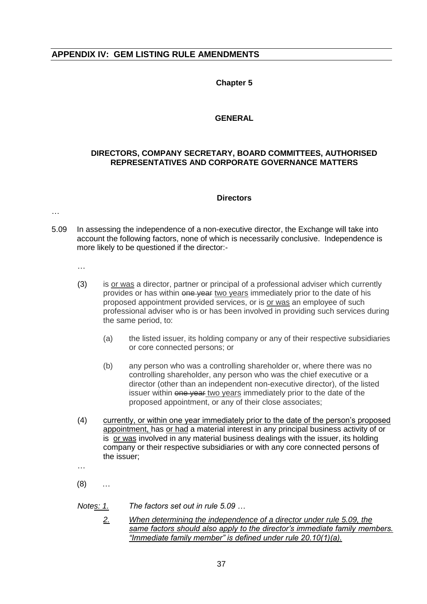## **APPENDIX IV: GEM LISTING RULE AMENDMENTS**

### **Chapter 5**

#### **GENERAL**

## **DIRECTORS, COMPANY SECRETARY, BOARD COMMITTEES, AUTHORISED REPRESENTATIVES AND CORPORATE GOVERNANCE MATTERS**

#### **Directors**

…

- 5.09 In assessing the independence of a non-executive director, the Exchange will take into account the following factors, none of which is necessarily conclusive. Independence is more likely to be questioned if the director:-
	- …
	- (3) is or was a director, partner or principal of a professional adviser which currently provides or has within one year two years immediately prior to the date of his proposed appointment provided services, or is or was an employee of such professional adviser who is or has been involved in providing such services during the same period, to:
		- (a) the listed issuer, its holding company or any of their respective subsidiaries or core connected persons; or
		- (b) any person who was a controlling shareholder or, where there was no controlling shareholder, any person who was the chief executive or a director (other than an independent non-executive director), of the listed issuer within one year two years immediately prior to the date of the proposed appointment, or any of their close associates;
	- (4) currently, or within one year immediately prior to the date of the person's proposed appointment, has or had a material interest in any principal business activity of or is or was involved in any material business dealings with the issuer, its holding company or their respective subsidiaries or with any core connected persons of the issuer;
	- …

(8) …

- *Notes: 1. The factors set out in rule 5.09 …*
	- *2. When determining the independence of a director under rule 5.09, the same factors should also apply to the director's immediate family members. "Immediate family member" is defined under rule 20.10(1)(a).*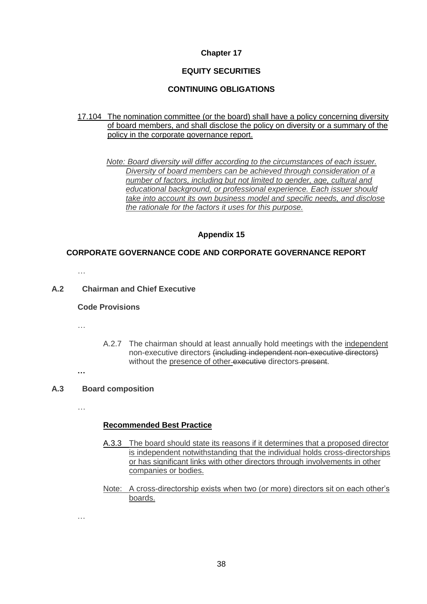## **Chapter 17**

## **EQUITY SECURITIES**

#### **CONTINUING OBLIGATIONS**

17.104 The nomination committee (or the board) shall have a policy concerning diversity of board members, and shall disclose the policy on diversity or a summary of the policy in the corporate governance report.

*Note: Board diversity will differ according to the circumstances of each issuer. Diversity of board members can be achieved through consideration of a number of factors, including but not limited to gender, age, cultural and educational background, or professional experience. Each issuer should take into account its own business model and specific needs, and disclose the rationale for the factors it uses for this purpose.*

#### **Appendix 15**

#### **CORPORATE GOVERNANCE CODE AND CORPORATE GOVERNANCE REPORT**

…

#### **A.2 Chairman and Chief Executive**

#### **Code Provisions**

…

A.2.7 The chairman should at least annually hold meetings with the independent non-executive directors (including independent non-executive directors) without the presence of other-executive directors-present.

## **…**

## **A.3 Board composition**

…

…

#### **Recommended Best Practice**

- A.3.3 The board should state its reasons if it determines that a proposed director is independent notwithstanding that the individual holds cross-directorships or has significant links with other directors through involvements in other companies or bodies.
- Note: A cross-directorship exists when two (or more) directors sit on each other's boards.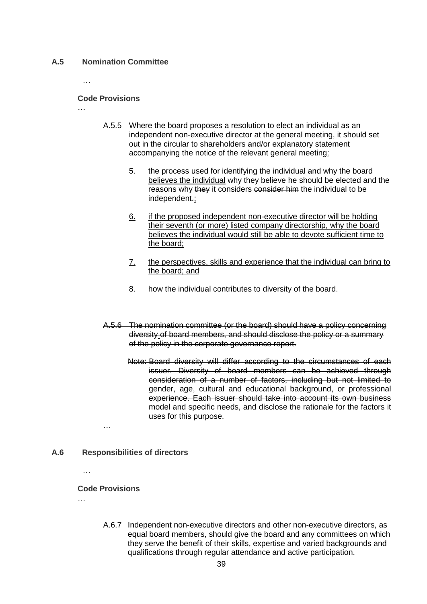#### **A.5 Nomination Committee**

#### **Code Provisions**

…

…

A.5.5 Where the board proposes a resolution to elect an individual as an independent non-executive director at the general meeting, it should set out in the circular to shareholders and/or explanatory statement accompanying the notice of the relevant general meeting:

- 5. the process used for identifying the individual and why the board believes the individual why they believe he should be elected and the reasons why they it considers consider him the individual to be independent.;
- 6. if the proposed independent non-executive director will be holding their seventh (or more) listed company directorship, why the board believes the individual would still be able to devote sufficient time to the board;
- 7. the perspectives, skills and experience that the individual can bring to the board; and
- 8. how the individual contributes to diversity of the board.
- A.5.6 The nomination committee (or the board) should have a policy concerning diversity of board members, and should disclose the policy or a summary of the policy in the corporate governance report.
	- Note: Board diversity will differ according to the circumstances of each issuer. Diversity of board members can be achieved through consideration of a number of factors, including but not limited to gender, age, cultural and educational background, or professional experience. Each issuer should take into account its own business model and specific needs, and disclose the rationale for the factors it uses for this purpose.

…

## **A.6 Responsibilities of directors**

…

## **Code Provisions**

…

A.6.7 Independent non-executive directors and other non-executive directors, as equal board members, should give the board and any committees on which they serve the benefit of their skills, expertise and varied backgrounds and qualifications through regular attendance and active participation.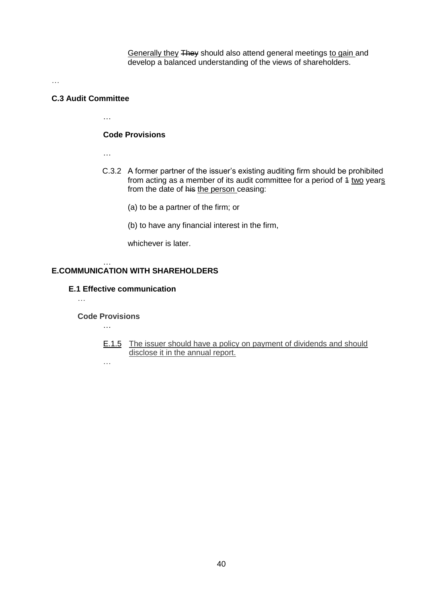Generally they They should also attend general meetings to gain and develop a balanced understanding of the views of shareholders.

…

#### **C.3 Audit Committee**

…

## **Code Provisions**

…

- C.3.2 A former partner of the issuer's existing auditing firm should be prohibited from acting as a member of its audit committee for a period of  $4 \text{ two years}$ from the date of his the person ceasing:
	- (a) to be a partner of the firm; or
	- (b) to have any financial interest in the firm,

whichever is later.

## **E.COMMUNICATION WITH SHAREHOLDERS**

### **E.1 Effective communication**

…

#### **Code Provisions** …

…

…

E.1.5 The issuer should have a policy on payment of dividends and should disclose it in the annual report.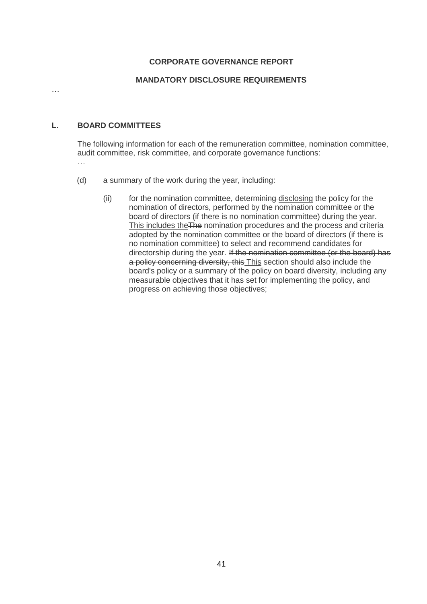## **CORPORATE GOVERNANCE REPORT**

## **MANDATORY DISCLOSURE REQUIREMENTS**

…

### **L. BOARD COMMITTEES**

The following information for each of the remuneration committee, nomination committee, audit committee, risk committee, and corporate governance functions: …

- (d) a summary of the work during the year, including:
	- (ii) for the nomination committee, determining disclosing the policy for the nomination of directors, performed by the nomination committee or the board of directors (if there is no nomination committee) during the year. This includes theThe nomination procedures and the process and criteria adopted by the nomination committee or the board of directors (if there is no nomination committee) to select and recommend candidates for directorship during the year. If the nomination committee (or the board) has a policy concerning diversity, this This section should also include the board's policy or a summary of the policy on board diversity, including any measurable objectives that it has set for implementing the policy, and progress on achieving those objectives;